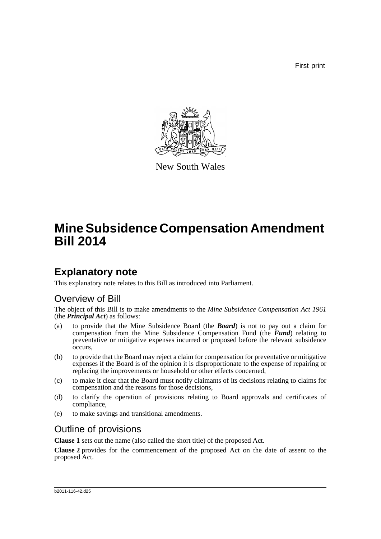First print



New South Wales

# **Mine Subsidence Compensation Amendment Bill 2014**

## **Explanatory note**

This explanatory note relates to this Bill as introduced into Parliament.

### Overview of Bill

The object of this Bill is to make amendments to the *Mine Subsidence Compensation Act 1961* (the *Principal Act*) as follows:

- (a) to provide that the Mine Subsidence Board (the *Board*) is not to pay out a claim for compensation from the Mine Subsidence Compensation Fund (the *Fund*) relating to preventative or mitigative expenses incurred or proposed before the relevant subsidence occurs,
- (b) to provide that the Board may reject a claim for compensation for preventative or mitigative expenses if the Board is of the opinion it is disproportionate to the expense of repairing or replacing the improvements or household or other effects concerned,
- (c) to make it clear that the Board must notify claimants of its decisions relating to claims for compensation and the reasons for those decisions,
- (d) to clarify the operation of provisions relating to Board approvals and certificates of compliance,
- (e) to make savings and transitional amendments.

### Outline of provisions

**Clause 1** sets out the name (also called the short title) of the proposed Act.

**Clause 2** provides for the commencement of the proposed Act on the date of assent to the proposed Act.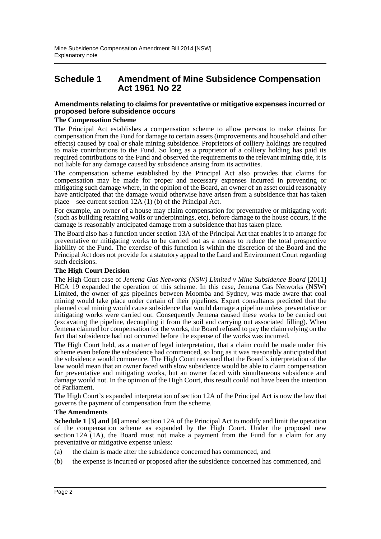### **Schedule 1 Amendment of Mine Subsidence Compensation Act 1961 No 22**

#### **Amendments relating to claims for preventative or mitigative expenses incurred or proposed before subsidence occurs**

#### **The Compensation Scheme**

The Principal Act establishes a compensation scheme to allow persons to make claims for compensation from the Fund for damage to certain assets (improvements and household and other effects) caused by coal or shale mining subsidence. Proprietors of colliery holdings are required to make contributions to the Fund. So long as a proprietor of a colliery holding has paid its required contributions to the Fund and observed the requirements to the relevant mining title, it is not liable for any damage caused by subsidence arising from its activities.

The compensation scheme established by the Principal Act also provides that claims for compensation may be made for proper and necessary expenses incurred in preventing or mitigating such damage where, in the opinion of the Board, an owner of an asset could reasonably have anticipated that the damage would otherwise have arisen from a subsidence that has taken place—see current section  $12A(1)$  (b) of the Principal Act.

For example, an owner of a house may claim compensation for preventative or mitigating work (such as building retaining walls or underpinnings, etc), before damage to the house occurs, if the damage is reasonably anticipated damage from a subsidence that has taken place.

The Board also has a function under section 13A of the Principal Act that enables it to arrange for preventative or mitigating works to be carried out as a means to reduce the total prospective liability of the Fund. The exercise of this function is within the discretion of the Board and the Principal Act does not provide for a statutory appeal to the Land and Environment Court regarding such decisions.

#### **The High Court Decision**

The High Court case of *Jemena Gas Networks (NSW) Limited v Mine Subsidence Board* [2011] HCA 19 expanded the operation of this scheme. In this case, Jemena Gas Networks (NSW) Limited, the owner of gas pipelines between Moomba and Sydney, was made aware that coal mining would take place under certain of their pipelines. Expert consultants predicted that the planned coal mining would cause subsidence that would damage a pipeline unless preventative or mitigating works were carried out. Consequently Jemena caused these works to be carried out (excavating the pipeline, decoupling it from the soil and carrying out associated filling). When Jemena claimed for compensation for the works, the Board refused to pay the claim relying on the fact that subsidence had not occurred before the expense of the works was incurred.

The High Court held, as a matter of legal interpretation, that a claim could be made under this scheme even before the subsidence had commenced, so long as it was reasonably anticipated that the subsidence would commence. The High Court reasoned that the Board's interpretation of the law would mean that an owner faced with slow subsidence would be able to claim compensation for preventative and mitigating works, but an owner faced with simultaneous subsidence and damage would not. In the opinion of the High Court, this result could not have been the intention of Parliament.

The High Court's expanded interpretation of section 12A of the Principal Act is now the law that governs the payment of compensation from the scheme.

#### **The Amendments**

**Schedule 1 [3] and [4]** amend section 12A of the Principal Act to modify and limit the operation of the compensation scheme as expanded by the High Court. Under the proposed new section  $12A(1A)$ , the Board must not make a payment from the Fund for a claim for any preventative or mitigative expense unless:

- (a) the claim is made after the subsidence concerned has commenced, and
- (b) the expense is incurred or proposed after the subsidence concerned has commenced, and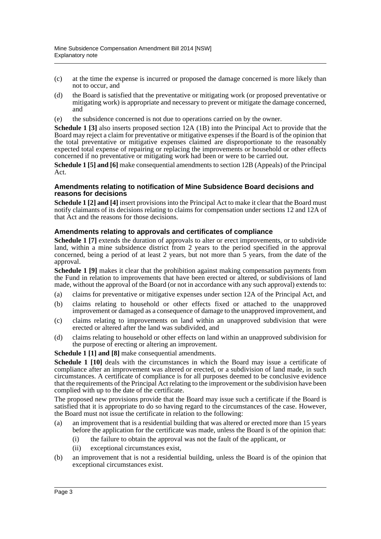- (c) at the time the expense is incurred or proposed the damage concerned is more likely than not to occur, and
- (d) the Board is satisfied that the preventative or mitigating work (or proposed preventative or mitigating work) is appropriate and necessary to prevent or mitigate the damage concerned, and
- (e) the subsidence concerned is not due to operations carried on by the owner.

**Schedule 1 [3]** also inserts proposed section 12A (1B) into the Principal Act to provide that the Board may reject a claim for preventative or mitigative expenses if the Board is of the opinion that the total preventative or mitigative expenses claimed are disproportionate to the reasonably expected total expense of repairing or replacing the improvements or household or other effects concerned if no preventative or mitigating work had been or were to be carried out.

**Schedule 1 [5] and [6]** make consequential amendments to section 12B (Appeals) of the Principal Act.

#### **Amendments relating to notification of Mine Subsidence Board decisions and reasons for decisions**

**Schedule 1 [2] and [4]** insert provisions into the Principal Act to make it clear that the Board must notify claimants of its decisions relating to claims for compensation under sections 12 and 12A of that Act and the reasons for those decisions.

#### **Amendments relating to approvals and certificates of compliance**

**Schedule 1 [7]** extends the duration of approvals to alter or erect improvements, or to subdivide land, within a mine subsidence district from 2 years to the period specified in the approval concerned, being a period of at least 2 years, but not more than 5 years, from the date of the approval.

**Schedule 1 [9]** makes it clear that the prohibition against making compensation payments from the Fund in relation to improvements that have been erected or altered, or subdivisions of land made, without the approval of the Board (or not in accordance with any such approval) extends to:

- (a) claims for preventative or mitigative expenses under section 12A of the Principal Act, and
- (b) claims relating to household or other effects fixed or attached to the unapproved improvement or damaged as a consequence of damage to the unapproved improvement, and
- (c) claims relating to improvements on land within an unapproved subdivision that were erected or altered after the land was subdivided, and
- (d) claims relating to household or other effects on land within an unapproved subdivision for the purpose of erecting or altering an improvement.

**Schedule 1 [1] and [8]** make consequential amendments.

**Schedule 1 [10]** deals with the circumstances in which the Board may issue a certificate of compliance after an improvement was altered or erected, or a subdivision of land made, in such circumstances. A certificate of compliance is for all purposes deemed to be conclusive evidence that the requirements of the Principal Act relating to the improvement or the subdivision have been complied with up to the date of the certificate.

The proposed new provisions provide that the Board may issue such a certificate if the Board is satisfied that it is appropriate to do so having regard to the circumstances of the case. However, the Board must not issue the certificate in relation to the following:

- (a) an improvement that is a residential building that was altered or erected more than 15 years before the application for the certificate was made, unless the Board is of the opinion that:
	- (i) the failure to obtain the approval was not the fault of the applicant, or
	- (ii) exceptional circumstances exist,
- (b) an improvement that is not a residential building, unless the Board is of the opinion that exceptional circumstances exist.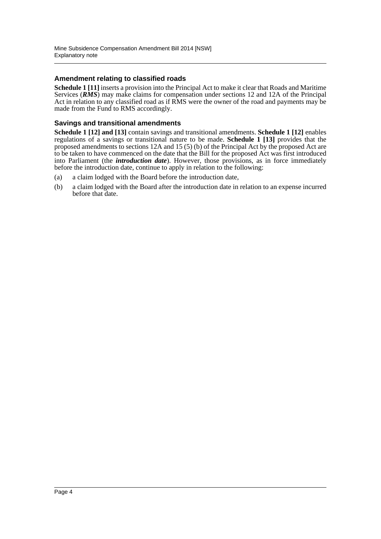#### **Amendment relating to classified roads**

**Schedule 1 [11]** inserts a provision into the Principal Act to make it clear that Roads and Maritime Services (**RMS**) may make claims for compensation under sections 12 and 12A of the Principal Act in relation to any classified road as if RMS were the owner of the road and payments may be made from the Fund to RMS accordingly.

#### **Savings and transitional amendments**

**Schedule 1 [12] and [13]** contain savings and transitional amendments. **Schedule 1 [12]** enables regulations of a savings or transitional nature to be made. **Schedule 1 [13]** provides that the proposed amendments to sections 12A and 15 (5) (b) of the Principal Act by the proposed Act are to be taken to have commenced on the date that the Bill for the proposed Act was first introduced into Parliament (the *introduction date*). However, those provisions, as in force immediately before the introduction date, continue to apply in relation to the following:

- (a) a claim lodged with the Board before the introduction date,
- (b) a claim lodged with the Board after the introduction date in relation to an expense incurred before that date.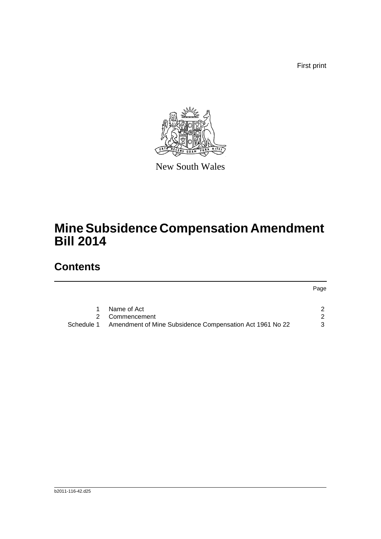First print

Page



New South Wales

# **Mine Subsidence Compensation Amendment Bill 2014**

## **Contents**

[1 Name of Act](#page-6-0) 2

|            | 2 Commencement                                           |  |
|------------|----------------------------------------------------------|--|
| Schedule 1 | Amendment of Mine Subsidence Compensation Act 1961 No 22 |  |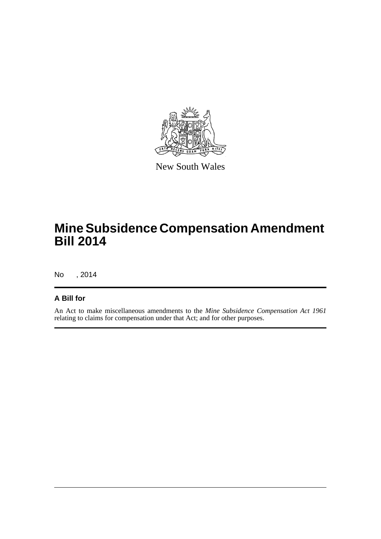

New South Wales

# **Mine Subsidence Compensation Amendment Bill 2014**

No , 2014

### **A Bill for**

An Act to make miscellaneous amendments to the *Mine Subsidence Compensation Act 1961* relating to claims for compensation under that Act; and for other purposes.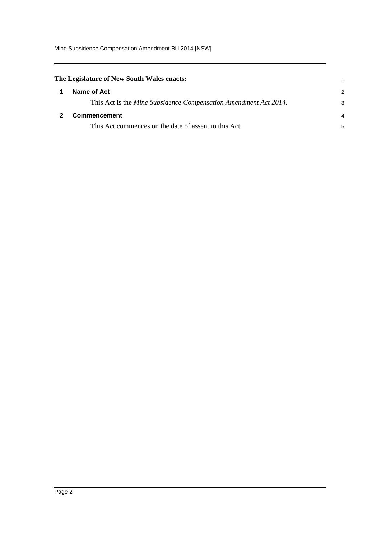Mine Subsidence Compensation Amendment Bill 2014 [NSW]

<span id="page-6-1"></span><span id="page-6-0"></span>

| The Legislature of New South Wales enacts: |                                                                                                                           |
|--------------------------------------------|---------------------------------------------------------------------------------------------------------------------------|
|                                            | $\mathcal{P}$                                                                                                             |
|                                            | 3                                                                                                                         |
| <b>Commencement</b>                        |                                                                                                                           |
|                                            | 5                                                                                                                         |
|                                            | This Act is the Mine Subsidence Compensation Amendment Act 2014.<br>This Act commences on the date of assent to this Act. |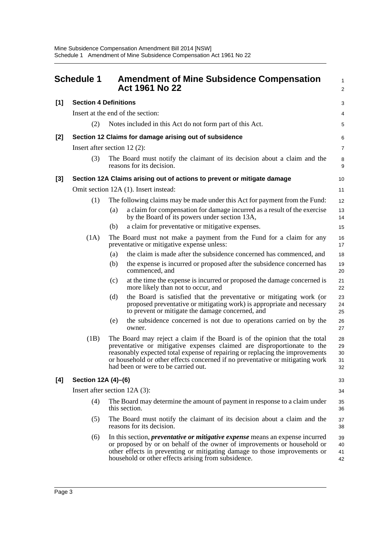<span id="page-7-0"></span>

| <b>Schedule 1</b> |                                 | Act 1961 No 22                                                                                        | <b>Amendment of Mine Subsidence Compensation</b>                                                                                                                                                                                                                                                                                                              | 1<br>2                     |  |  |
|-------------------|---------------------------------|-------------------------------------------------------------------------------------------------------|---------------------------------------------------------------------------------------------------------------------------------------------------------------------------------------------------------------------------------------------------------------------------------------------------------------------------------------------------------------|----------------------------|--|--|
| [1]               | <b>Section 4 Definitions</b>    |                                                                                                       |                                                                                                                                                                                                                                                                                                                                                               | 3                          |  |  |
|                   |                                 | Insert at the end of the section:                                                                     |                                                                                                                                                                                                                                                                                                                                                               |                            |  |  |
|                   | (2)                             |                                                                                                       | Notes included in this Act do not form part of this Act.                                                                                                                                                                                                                                                                                                      | 5                          |  |  |
| [2]               |                                 |                                                                                                       | Section 12 Claims for damage arising out of subsidence                                                                                                                                                                                                                                                                                                        | 6                          |  |  |
|                   |                                 | Insert after section $12(2)$ :                                                                        |                                                                                                                                                                                                                                                                                                                                                               | $\overline{7}$             |  |  |
|                   | (3)                             | The Board must notify the claimant of its decision about a claim and the<br>reasons for its decision. |                                                                                                                                                                                                                                                                                                                                                               |                            |  |  |
| [3]               |                                 |                                                                                                       | Section 12A Claims arising out of actions to prevent or mitigate damage                                                                                                                                                                                                                                                                                       | 10                         |  |  |
|                   |                                 | Omit section 12A (1). Insert instead:                                                                 |                                                                                                                                                                                                                                                                                                                                                               | 11                         |  |  |
|                   | (1)                             |                                                                                                       | The following claims may be made under this Act for payment from the Fund:                                                                                                                                                                                                                                                                                    | 12                         |  |  |
|                   |                                 | (a)                                                                                                   | a claim for compensation for damage incurred as a result of the exercise<br>by the Board of its powers under section 13A,                                                                                                                                                                                                                                     | 13<br>14                   |  |  |
|                   |                                 | (b)                                                                                                   | a claim for preventative or mitigative expenses.                                                                                                                                                                                                                                                                                                              | 15                         |  |  |
|                   | (1A)                            |                                                                                                       | The Board must not make a payment from the Fund for a claim for any<br>preventative or mitigative expense unless:                                                                                                                                                                                                                                             | 16<br>17                   |  |  |
|                   |                                 | (a)                                                                                                   | the claim is made after the subsidence concerned has commenced, and                                                                                                                                                                                                                                                                                           | 18                         |  |  |
|                   |                                 | (b)<br>commenced, and                                                                                 | the expense is incurred or proposed after the subsidence concerned has                                                                                                                                                                                                                                                                                        | 19<br>20                   |  |  |
|                   |                                 | (c)                                                                                                   | at the time the expense is incurred or proposed the damage concerned is<br>more likely than not to occur, and                                                                                                                                                                                                                                                 | 21<br>22                   |  |  |
|                   |                                 | (d)                                                                                                   | the Board is satisfied that the preventative or mitigating work (or<br>proposed preventative or mitigating work) is appropriate and necessary<br>to prevent or mitigate the damage concerned, and                                                                                                                                                             | 23<br>24<br>25             |  |  |
|                   |                                 | (e)<br>owner.                                                                                         | the subsidence concerned is not due to operations carried on by the                                                                                                                                                                                                                                                                                           | 26<br>27                   |  |  |
|                   | (1B)                            |                                                                                                       | The Board may reject a claim if the Board is of the opinion that the total<br>preventative or mitigative expenses claimed are disproportionate to the<br>reasonably expected total expense of repairing or replacing the improvements<br>or household or other effects concerned if no preventative or mitigating work<br>had been or were to be carried out. | 28<br>29<br>30<br>31<br>32 |  |  |
| [4]               | Section 12A (4)–(6)             |                                                                                                       |                                                                                                                                                                                                                                                                                                                                                               |                            |  |  |
|                   | Insert after section $12A(3)$ : |                                                                                                       |                                                                                                                                                                                                                                                                                                                                                               |                            |  |  |
|                   | (4)                             | this section.                                                                                         | The Board may determine the amount of payment in response to a claim under                                                                                                                                                                                                                                                                                    | 35<br>36                   |  |  |
|                   | (5)                             | reasons for its decision.                                                                             | The Board must notify the claimant of its decision about a claim and the                                                                                                                                                                                                                                                                                      | 37<br>38                   |  |  |
|                   | (6)                             |                                                                                                       | In this section, <i>preventative or mitigative expense</i> means an expense incurred<br>or proposed by or on behalf of the owner of improvements or household or<br>other effects in preventing or mitigating damage to those improvements or<br>household or other effects arising from subsidence.                                                          | 39<br>40<br>41<br>42       |  |  |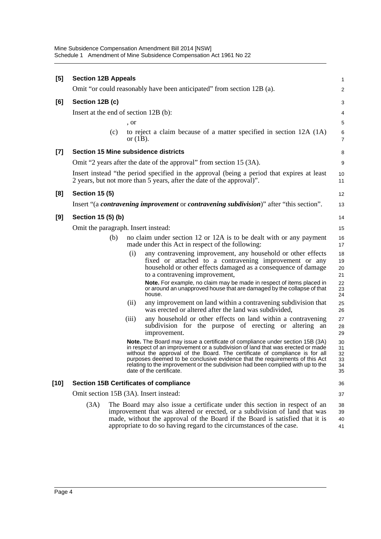| $[5]$  | <b>Section 12B Appeals</b>             |                                     |                                                                                                                                                                                                                                                                                                                                                                                                                                             | $\mathbf{1}$                     |  |
|--------|----------------------------------------|-------------------------------------|---------------------------------------------------------------------------------------------------------------------------------------------------------------------------------------------------------------------------------------------------------------------------------------------------------------------------------------------------------------------------------------------------------------------------------------------|----------------------------------|--|
|        |                                        |                                     | Omit "or could reasonably have been anticipated" from section 12B (a).                                                                                                                                                                                                                                                                                                                                                                      | 2                                |  |
| [6]    | Section 12B (c)                        |                                     |                                                                                                                                                                                                                                                                                                                                                                                                                                             | 3                                |  |
|        |                                        |                                     | Insert at the end of section 12B (b):                                                                                                                                                                                                                                                                                                                                                                                                       | 4                                |  |
|        |                                        |                                     | , or                                                                                                                                                                                                                                                                                                                                                                                                                                        | $\,$ 5 $\,$                      |  |
|        |                                        | (c)                                 | to reject a claim because of a matter specified in section 12A (1A)<br>or $(1B)$ .                                                                                                                                                                                                                                                                                                                                                          | $\,6$<br>$\overline{7}$          |  |
| $[7]$  |                                        |                                     | <b>Section 15 Mine subsidence districts</b>                                                                                                                                                                                                                                                                                                                                                                                                 | 8                                |  |
|        |                                        |                                     | Omit "2 years after the date of the approval" from section 15 (3A).                                                                                                                                                                                                                                                                                                                                                                         | 9                                |  |
|        |                                        |                                     | Insert instead "the period specified in the approval (being a period that expires at least<br>2 years, but not more than 5 years, after the date of the approval)".                                                                                                                                                                                                                                                                         | 10<br>11                         |  |
| [8]    | <b>Section 15 (5)</b>                  |                                     |                                                                                                                                                                                                                                                                                                                                                                                                                                             | 12                               |  |
|        |                                        |                                     | Insert "(a contravening improvement or contravening subdivision)" after "this section".                                                                                                                                                                                                                                                                                                                                                     | 13                               |  |
| [9]    | Section 15 (5) (b)                     |                                     |                                                                                                                                                                                                                                                                                                                                                                                                                                             | 14                               |  |
|        |                                        | Omit the paragraph. Insert instead: |                                                                                                                                                                                                                                                                                                                                                                                                                                             |                                  |  |
|        |                                        | (b)                                 | no claim under section 12 or 12A is to be dealt with or any payment<br>made under this Act in respect of the following:                                                                                                                                                                                                                                                                                                                     | 16<br>17                         |  |
|        |                                        |                                     | any contravening improvement, any household or other effects<br>(i)<br>fixed or attached to a contravening improvement or any<br>household or other effects damaged as a consequence of damage<br>to a contravening improvement,                                                                                                                                                                                                            | 18<br>19<br>20<br>21             |  |
|        |                                        |                                     | Note. For example, no claim may be made in respect of items placed in<br>or around an unapproved house that are damaged by the collapse of that<br>house.                                                                                                                                                                                                                                                                                   | 22<br>23<br>24                   |  |
|        |                                        |                                     | any improvement on land within a contravening subdivision that<br>(ii)<br>was erected or altered after the land was subdivided,                                                                                                                                                                                                                                                                                                             | 25<br>26                         |  |
|        |                                        |                                     | (iii)<br>any household or other effects on land within a contravening<br>subdivision for the purpose of erecting or altering<br>an<br>improvement.                                                                                                                                                                                                                                                                                          | 27<br>28<br>29                   |  |
|        |                                        |                                     | Note. The Board may issue a certificate of compliance under section 15B (3A)<br>in respect of an improvement or a subdivision of land that was erected or made<br>without the approval of the Board. The certificate of compliance is for all<br>purposes deemed to be conclusive evidence that the requirements of this Act<br>relating to the improvement or the subdivision had been complied with up to the<br>date of the certificate. | 30<br>31<br>32<br>33<br>34<br>35 |  |
| $[10]$ |                                        |                                     | <b>Section 15B Certificates of compliance</b>                                                                                                                                                                                                                                                                                                                                                                                               | 36                               |  |
|        | Omit section 15B (3A). Insert instead: |                                     |                                                                                                                                                                                                                                                                                                                                                                                                                                             | 37                               |  |
|        | (3A)                                   |                                     | The Board may also issue a certificate under this section in respect of an<br>improvement that was altered or erected, or a subdivision of land that was<br>made, without the approval of the Board if the Board is satisfied that it is<br>appropriate to do so having regard to the circumstances of the case.                                                                                                                            | 38<br>39<br>40<br>41             |  |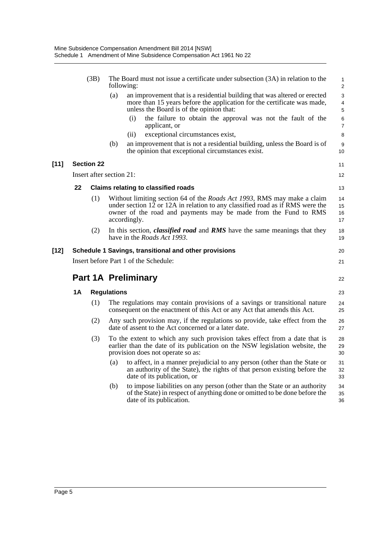| (3B)   |                          |                   | following:                                 | The Board must not issue a certificate under subsection (3A) in relation to the                                                                                                                                                                     | $\mathbf{1}$<br>$\overline{2}$ |
|--------|--------------------------|-------------------|--------------------------------------------|-----------------------------------------------------------------------------------------------------------------------------------------------------------------------------------------------------------------------------------------------------|--------------------------------|
|        |                          |                   | (a)                                        | an improvement that is a residential building that was altered or erected<br>more than 15 years before the application for the certificate was made,<br>unless the Board is of the opinion that:                                                    | 3<br>$\overline{4}$<br>5       |
|        |                          |                   |                                            | (i)<br>the failure to obtain the approval was not the fault of the<br>applicant, or                                                                                                                                                                 | 6<br>$\overline{7}$            |
|        |                          |                   |                                            | (ii)<br>exceptional circumstances exist,                                                                                                                                                                                                            | 8                              |
|        |                          |                   | (b)                                        | an improvement that is not a residential building, unless the Board is of<br>the opinion that exceptional circumstances exist.                                                                                                                      | 9<br>10                        |
| $[11]$ |                          | <b>Section 22</b> |                                            |                                                                                                                                                                                                                                                     | 11                             |
|        | Insert after section 21: |                   |                                            |                                                                                                                                                                                                                                                     | 12                             |
|        | 22                       |                   | <b>Claims relating to classified roads</b> |                                                                                                                                                                                                                                                     |                                |
|        |                          | (1)               |                                            | Without limiting section 64 of the <i>Roads Act 1993</i> , RMS may make a claim<br>under section 12 or 12A in relation to any classified road as if RMS were the<br>owner of the road and payments may be made from the Fund to RMS<br>accordingly. | 14<br>15<br>16<br>17           |
|        |                          | (2)               |                                            | In this section, <i>classified road</i> and RMS have the same meanings that they<br>have in the <i>Roads Act 1993</i> .                                                                                                                             | 18<br>19                       |
| [12]   |                          |                   |                                            | Schedule 1 Savings, transitional and other provisions                                                                                                                                                                                               | 20                             |
|        |                          |                   |                                            | Insert before Part 1 of the Schedule:                                                                                                                                                                                                               | 21                             |
|        |                          |                   |                                            | <b>Part 1A Preliminary</b>                                                                                                                                                                                                                          | 22                             |
|        | 1Α                       |                   | <b>Regulations</b>                         |                                                                                                                                                                                                                                                     | 23                             |
|        |                          | (1)               |                                            | The regulations may contain provisions of a savings or transitional nature<br>consequent on the enactment of this Act or any Act that amends this Act.                                                                                              | 24<br>25                       |
|        |                          | (2)               |                                            | Any such provision may, if the regulations so provide, take effect from the<br>date of assent to the Act concerned or a later date.                                                                                                                 | 26<br>27                       |
|        |                          | (3)               |                                            | To the extent to which any such provision takes effect from a date that is<br>earlier than the date of its publication on the NSW legislation website, the<br>provision does not operate so as:                                                     | 28<br>29<br>30                 |
|        |                          |                   | (a)                                        | to affect, in a manner prejudicial to any person (other than the State or<br>an authority of the State), the rights of that person existing before the<br>date of its publication, or                                                               | 31<br>32<br>33                 |
|        |                          |                   | (b)                                        | to impose liabilities on any person (other than the State or an authority                                                                                                                                                                           | 34<br>35                       |
|        |                          |                   |                                            | of the State) in respect of anything done or omitted to be done before the<br>date of its publication.                                                                                                                                              | 36                             |